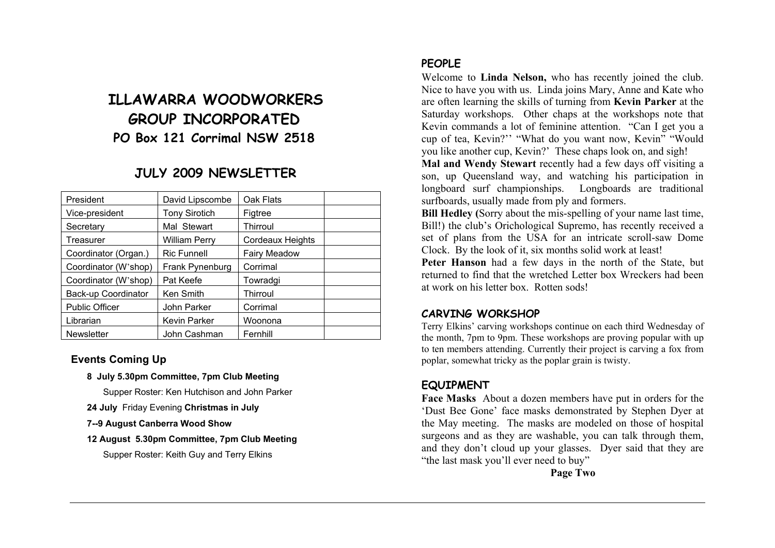# **ILLAWARRA WOODWORKERS GROUP INCORPORATED PO Box 121 Corrimal NSW 2518**

# **JULY 2009 NEWSLETTER**

| President             | David Lipscombe      | Oak Flats           |  |
|-----------------------|----------------------|---------------------|--|
| Vice-president        | <b>Tony Sirotich</b> | Figtree             |  |
| Secretary             | Mal Stewart          | Thirroul            |  |
| Treasurer             | <b>William Perry</b> | Cordeaux Heights    |  |
| Coordinator (Organ.)  | <b>Ric Funnell</b>   | <b>Fairy Meadow</b> |  |
| Coordinator (W'shop)  | Frank Pynenburg      | Corrimal            |  |
| Coordinator (W'shop)  | Pat Keefe            | Towradgi            |  |
| Back-up Coordinator   | Ken Smith            | Thirroul            |  |
| <b>Public Officer</b> | John Parker          | Corrimal            |  |
| Librarian             | <b>Kevin Parker</b>  | Woonona             |  |
| <b>Newsletter</b>     | John Cashman         | Fernhill            |  |

#### **Events Coming Up**

**8 July 5.30pm Committee, 7pm Club Meeting** 

Supper Roster: Ken Hutchison and John Parker

- **24 July** Friday Evening **Christmas in July**
- **7--9 August Canberra Wood Show**
- **12 August 5.30pm Committee, 7pm Club Meeting**

Supper Roster: Keith Guy and Terry Elkins

## **PEOPLE**

Welcome to **Linda Nelson,** who has recently joined the club. Nice to have you with us. Linda joins Mary, Anne and Kate who are often learning the skills of turning from **Kevin Parker** at the Saturday workshops. Other chaps at the workshops note that Kevin commands a lot of feminine attention. "Can I get you a cup of tea, Kevin?'' "What do you want now, Kevin" "Would you like another cup, Kevin?' These chaps look on, and sigh!

**Mal and Wendy Stewart** recently had a few days off visiting a son, up Queensland way, and watching his participation in longboard surf championships. Longboards are traditional surfboards, usually made from ply and formers.

**Bill Hedley (**Sorry about the mis-spelling of your name last time, Bill!) the club's Orichological Supremo, has recently received a set of plans from the USA for an intricate scroll-saw Dome Clock. By the look of it, six months solid work at least!

**Peter Hanson** had a few days in the north of the State, but returned to find that the wretched Letter box Wreckers had been at work on his letter box. Rotten sods!

## **CARVING WORKSHOP**

Terry Elkins' carving workshops continue on each third Wednesday of the month, 7pm to 9pm. These workshops are proving popular with up to ten members attending. Currently their project is carving a fox from poplar, somewhat tricky as the poplar grain is twisty.

# **EQUIPMENT**

**Face Masks** About a dozen members have put in orders for the 'Dust Bee Gone' face masks demonstrated by Stephen Dyer at the May meeting. The masks are modeled on those of hospital surgeons and as they are washable, you can talk through them, and they don't cloud up your glasses. Dyer said that they are "the last mask you'll ever need to buy"

**Page Two**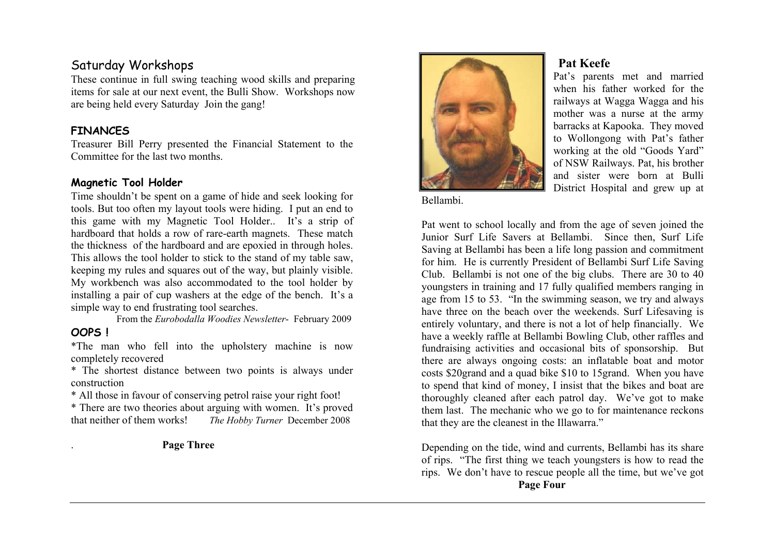# Saturday Workshops

These continue in full swing teaching wood skills and preparing items for sale at our next event, the Bulli Show. Workshops now are being held every Saturday Join the gang!

#### **FINANCES**

Treasurer Bill Perry presented the Financial Statement to the Committee for the last two months.

#### **Magnetic Tool Holder**

Time shouldn't be spent on a game of hide and seek looking for tools. But too often my layout tools were hiding. I put an end to this game with my Magnetic Tool Holder.. It's a strip of hardboard that holds a row of rare-earth magnets. These match the thickness of the hardboard and are epoxied in through holes. This allows the tool holder to stick to the stand of my table saw, keeping my rules and squares out of the way, but plainly visible. My workbench was also accommodated to the tool holder by installing a pair of cup washers at the edge of the bench. It's a simple way to end frustrating tool searches.

From the *Eurobodalla Woodies Newsletter*- February 2009

# **OOPS !**

\*The man who fell into the upholstery machine is now completely recovered

\* The shortest distance between two points is always under construction

\* All those in favour of conserving petrol raise your right foot!

\* There are two theories about arguing with women. It's proved that neither of them works! *The Hobby Turner* December 2008

. **Page Three** 



Bellambi.

# **Pat Keefe**

Pat's parents met and married when his father worked for the railways at Wagga Wagga and his mother was a nurse at the army barracks at Kapooka. They moved to Wollongong with Pat's father working at the old "Goods Yard" of NSW Railways. Pat, his brother and sister were born at Bulli District Hospital and grew up at

Pat went to school locally and from the age of seven joined the Junior Surf Life Savers at Bellambi. Since then, Surf Life Saving at Bellambi has been a life long passion and commitment for him. He is currently President of Bellambi Surf Life Saving Club. Bellambi is not one of the big clubs. There are 30 to 40 youngsters in training and 17 fully qualified members ranging in age from 15 to 53. "In the swimming season, we try and always have three on the beach over the weekends. Surf Lifesaving is entirely voluntary, and there is not a lot of help financially. We have a weekly raffle at Bellambi Bowling Club, other raffles and fundraising activities and occasional bits of sponsorship. But there are always ongoing costs: an inflatable boat and motor costs \$20grand and a quad bike \$10 to 15grand. When you have to spend that kind of money, I insist that the bikes and boat are thoroughly cleaned after each patrol day. We've got to make them last. The mechanic who we go to for maintenance reckons that they are the cleanest in the Illawarra."

Depending on the tide, wind and currents, Bellambi has its share of rips. "The first thing we teach youngsters is how to read the rips. We don't have to rescue people all the time, but we've got **Page Four**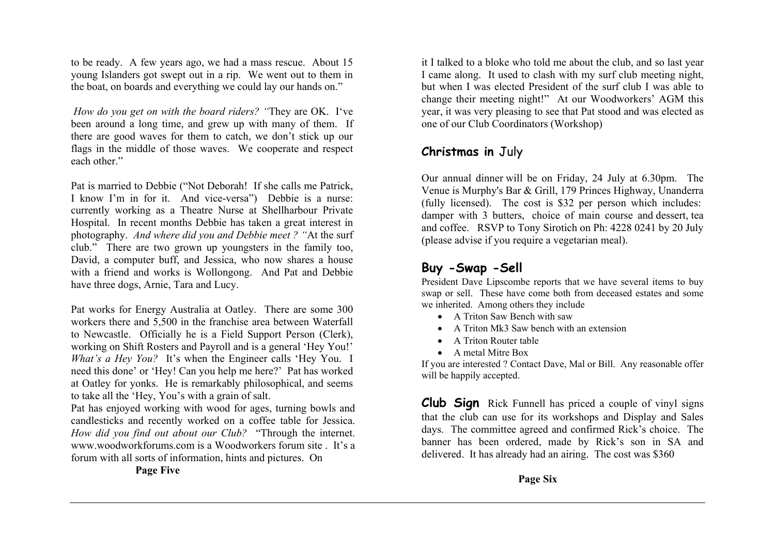to be ready. A few years ago, we had a mass rescue. About 15 young Islanders got swept out in a rip. We went out to them in the boat, on boards and everything we could lay our hands on."

*How do you get on with the board riders? "*They are OK. I've been around a long time, and grew up with many of them. If there are good waves for them to catch, we don't stick up our flags in the middle of those waves. We cooperate and respect each other."

Pat is married to Debbie ("Not Deborah! If she calls me Patrick, I know I'm in for it. And vice-versa") Debbie is a nurse: currently working as a Theatre Nurse at Shellharbour Private Hospital. In recent months Debbie has taken a great interest in photography. *And where did you and Debbie meet ? "*At the surf club." There are two grown up youngsters in the family too, David, a computer buff, and Jessica, who now shares a house with a friend and works is Wollongong. And Pat and Debbie have three dogs, Arnie, Tara and Lucy.

Pat works for Energy Australia at Oatley. There are some 300 workers there and 5,500 in the franchise area between Waterfall to Newcastle. Officially he is a Field Support Person (Clerk), working on Shift Rosters and Payroll and is a general 'Hey You!' *What's a Hey You?* It's when the Engineer calls 'Hey You. I need this done' or 'Hey! Can you help me here?' Pat has worked at Oatley for yonks. He is remarkably philosophical, and seems to take all the 'Hey, You's with a grain of salt.

Pat has enjoyed working with wood for ages, turning bowls and candlesticks and recently worked on a coffee table for Jessica. *How did you find out about our Club?* "Through the internet. www.woodworkforums.com is a Woodworkers forum site . It's a forum with all sorts of information, hints and pictures. On

**Page Five**

it I talked to a bloke who told me about the club, and so last year I came along. It used to clash with my surf club meeting night, but when I was elected President of the surf club I was able to change their meeting night!" At our Woodworkers' AGM this year, it was very pleasing to see that Pat stood and was elected as one of our Club Coordinators (Workshop)

# **Christmas in** July

Our annual dinner will be on Friday, 24 July at 6.30pm. The Venue is Murphy's Bar & Grill, 179 Princes Highway, Unanderra (fully licensed). The cost is \$32 per person which includes: damper with 3 butters, choice of main course and dessert, tea and coffee. RSVP to Tony Sirotich on Ph: 4228 0241 by 20 July (please advise if you require a vegetarian meal).

# **Buy -Swap -Sell**

President Dave Lipscombe reports that we have several items to buy swap or sell. These have come both from deceased estates and some we inherited. Among others they include

- A Triton Saw Bench with saw
- A Triton Mk3 Saw bench with an extension
- A Triton Router table
- A metal Mitre Box

If you are interested ? Contact Dave, Mal or Bill. Any reasonable offer will be happily accepted.

**Club Sign** Rick Funnell has priced a couple of vinyl signs that the club can use for its workshops and Display and Sales days. The committee agreed and confirmed Rick's choice. The banner has been ordered, made by Rick's son in SA and delivered. It has already had an airing. The cost was \$360

**Page Six**